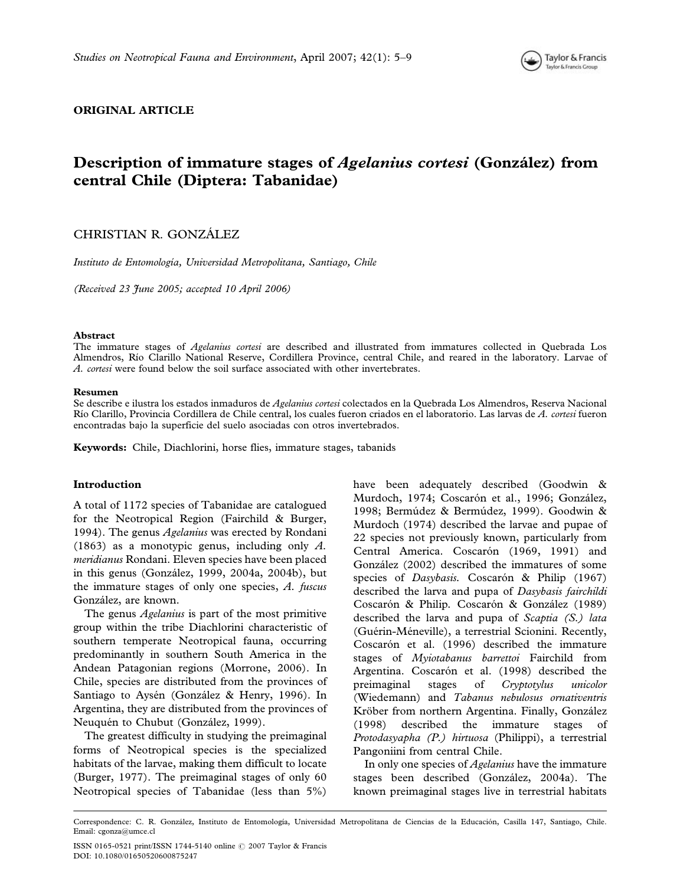

# ORIGINAL ARTICLE

# Description of immature stages of Agelanius cortesi (González) from central Chile (Diptera: Tabanidae)

# CHRISTIAN R. GONZÁLEZ

Instituto de Entomología, Universidad Metropolitana, Santiago, Chile

(Received 23 June 2005; accepted 10 April 2006)

#### Abstract

The immature stages of *Agelanius cortesi* are described and illustrated from immatures collected in Quebrada Los Almendros, Río Clarillo National Reserve, Cordillera Province, central Chile, and reared in the laboratory. Larvae of A. cortesi were found below the soil surface associated with other invertebrates.

#### Resumen

Se describe e ilustra los estados inmaduros de Agelanius cortesi colectados en la Quebrada Los Almendros, Reserva Nacional Río Clarillo, Provincia Cordillera de Chile central, los cuales fueron criados en el laboratorio. Las larvas de A. cortesi fueron encontradas bajo la superficie del suelo asociadas con otros invertebrados.

Keywords: Chile, Diachlorini, horse flies, immature stages, tabanids

## Introduction

A total of 1172 species of Tabanidae are catalogued for the Neotropical Region (Fairchild & Burger, 1994). The genus Agelanius was erected by Rondani (1863) as a monotypic genus, including only A. meridianus Rondani. Eleven species have been placed in this genus (González, 1999, 2004a, 2004b), but the immature stages of only one species, A. fuscus González, are known.

The genus *Agelanius* is part of the most primitive group within the tribe Diachlorini characteristic of southern temperate Neotropical fauna, occurring predominantly in southern South America in the Andean Patagonian regions (Morrone, 2006). In Chile, species are distributed from the provinces of Santiago to Aysén (González & Henry, 1996). In Argentina, they are distributed from the provinces of Neuquén to Chubut (González, 1999).

The greatest difficulty in studying the preimaginal forms of Neotropical species is the specialized habitats of the larvae, making them difficult to locate (Burger, 1977). The preimaginal stages of only 60 Neotropical species of Tabanidae (less than 5%)

have been adequately described (Goodwin & Murdoch, 1974; Coscarón et al., 1996; González, 1998; Bermúdez & Bermúdez, 1999). Goodwin & Murdoch (1974) described the larvae and pupae of 22 species not previously known, particularly from Central America. Coscarón (1969, 1991) and González (2002) described the immatures of some species of Dasybasis. Coscarón & Philip (1967) described the larva and pupa of Dasybasis fairchildi Coscarón & Philip. Coscarón & González (1989) described the larva and pupa of Scaptia (S.) lata (Guérin-Méneville), a terrestrial Scionini. Recently, Coscarón et al. (1996) described the immature stages of Myiotabanus barrettoi Fairchild from Argentina. Coscarón et al. (1998) described the preimaginal stages of Cryptotylus unicolor (Wiedemann) and Tabanus nebulosus ornativentris Kröber from northern Argentina. Finally, González (1998) described the immature stages of Protodasyapha (P.) hirtuosa (Philippi), a terrestrial Pangoniini from central Chile.

In only one species of Agelanius have the immature stages been described (González, 2004a). The known preimaginal stages live in terrestrial habitats

Correspondence: C. R. González, Instituto de Entomología, Universidad Metropolitana de Ciencias de la Educación, Casilla 147, Santiago, Chile. Email: cgonza@umce.cl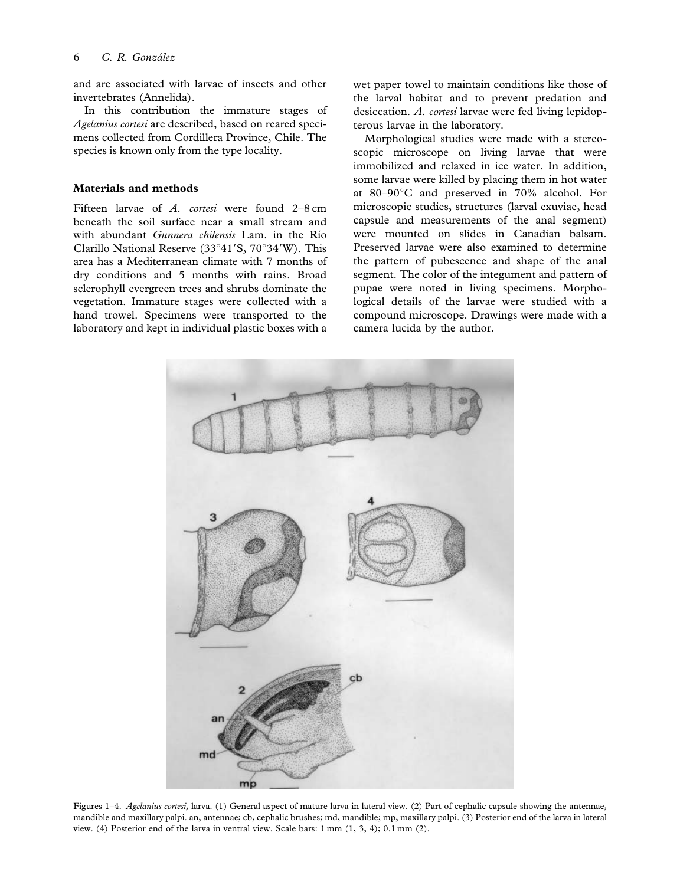and are associated with larvae of insects and other invertebrates (Annelida).

In this contribution the immature stages of Agelanius cortesi are described, based on reared specimens collected from Cordillera Province, Chile. The species is known only from the type locality.

#### Materials and methods

Fifteen larvae of A. cortesi were found 2–8 cm beneath the soil surface near a small stream and with abundant Gunnera chilensis Lam. in the Río Clarillo National Reserve (33 $^{\circ}41'S$ , 70 $^{\circ}34'W$ ). This area has a Mediterranean climate with 7 months of dry conditions and 5 months with rains. Broad sclerophyll evergreen trees and shrubs dominate the vegetation. Immature stages were collected with a hand trowel. Specimens were transported to the laboratory and kept in individual plastic boxes with a wet paper towel to maintain conditions like those of the larval habitat and to prevent predation and desiccation. A. cortesi larvae were fed living lepidopterous larvae in the laboratory.

Morphological studies were made with a stereoscopic microscope on living larvae that were immobilized and relaxed in ice water. In addition, some larvae were killed by placing them in hot water at  $80-90^{\circ}$ C and preserved in 70% alcohol. For microscopic studies, structures (larval exuviae, head capsule and measurements of the anal segment) were mounted on slides in Canadian balsam. Preserved larvae were also examined to determine the pattern of pubescence and shape of the anal segment. The color of the integument and pattern of pupae were noted in living specimens. Morphological details of the larvae were studied with a compound microscope. Drawings were made with a camera lucida by the author.



Figures 1-4. Agelanius cortesi, larva. (1) General aspect of mature larva in lateral view. (2) Part of cephalic capsule showing the antennae, mandible and maxillary palpi. an, antennae; cb, cephalic brushes; md, mandible; mp, maxillary palpi. (3) Posterior end of the larva in lateral view. (4) Posterior end of the larva in ventral view. Scale bars: 1 mm (1, 3, 4); 0.1 mm (2).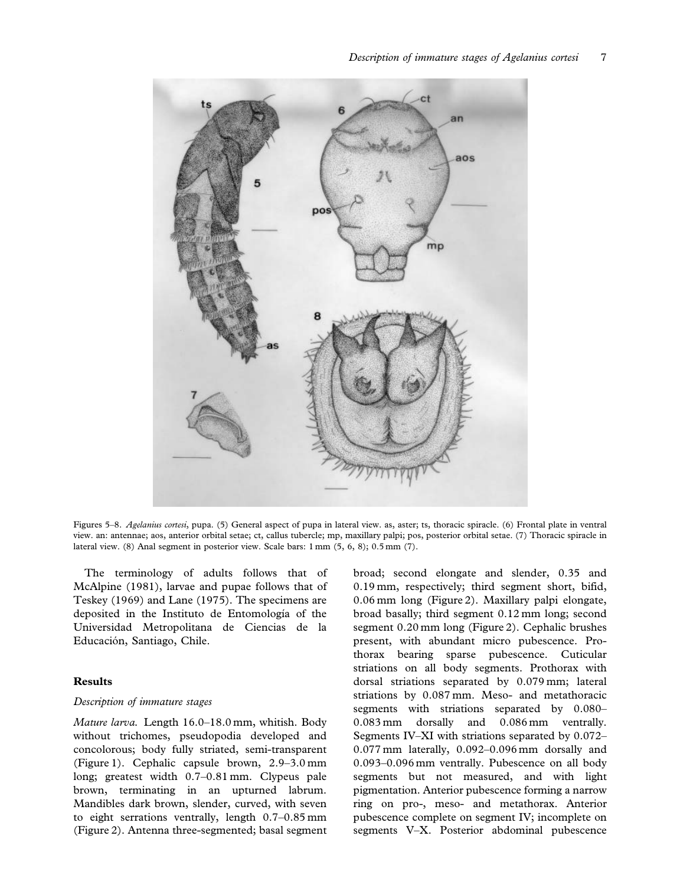

Figures 5–8. Agelanius cortesi, pupa. (5) General aspect of pupa in lateral view. as, aster; ts, thoracic spiracle. (6) Frontal plate in ventral view. an: antennae; aos, anterior orbital setae; ct, callus tubercle; mp, maxillary palpi; pos, posterior orbital setae. (7) Thoracic spiracle in lateral view. (8) Anal segment in posterior view. Scale bars: 1 mm (5, 6, 8); 0.5 mm (7).

The terminology of adults follows that of McAlpine (1981), larvae and pupae follows that of Teskey (1969) and Lane (1975). The specimens are deposited in the Instituto de Entomología of the Universidad Metropolitana de Ciencias de la Educación, Santiago, Chile.

## Results

## Description of immature stages

Mature larva. Length 16.0–18.0 mm, whitish. Body without trichomes, pseudopodia developed and concolorous; body fully striated, semi-transparent (Figure 1). Cephalic capsule brown, 2.9–3.0 mm long; greatest width 0.7–0.81 mm. Clypeus pale brown, terminating in an upturned labrum. Mandibles dark brown, slender, curved, with seven to eight serrations ventrally, length 0.7–0.85 mm (Figure 2). Antenna three-segmented; basal segment broad; second elongate and slender, 0.35 and 0.19 mm, respectively; third segment short, bifid, 0.06 mm long (Figure 2). Maxillary palpi elongate, broad basally; third segment 0.12 mm long; second segment 0.20 mm long (Figure 2). Cephalic brushes present, with abundant micro pubescence. Prothorax bearing sparse pubescence. Cuticular striations on all body segments. Prothorax with dorsal striations separated by 0.079 mm; lateral striations by 0.087 mm. Meso- and metathoracic segments with striations separated by 0.080– 0.083 mm dorsally and 0.086 mm ventrally. Segments IV–XI with striations separated by 0.072– 0.077 mm laterally, 0.092–0.096 mm dorsally and 0.093–0.096 mm ventrally. Pubescence on all body segments but not measured, and with light pigmentation. Anterior pubescence forming a narrow ring on pro-, meso- and metathorax. Anterior pubescence complete on segment IV; incomplete on segments V–X. Posterior abdominal pubescence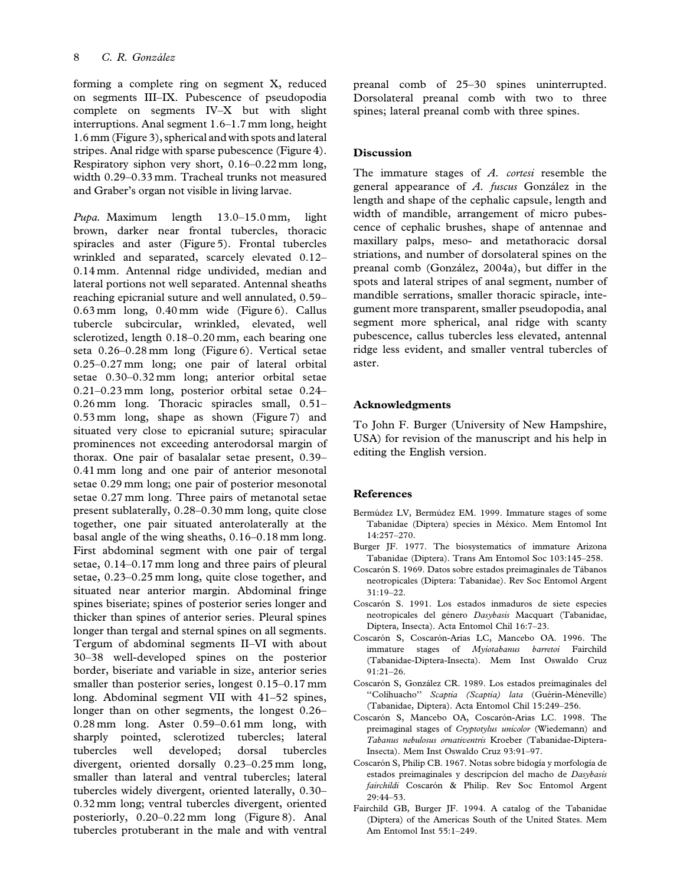forming a complete ring on segment X, reduced on segments III–IX. Pubescence of pseudopodia complete on segments IV–X but with slight interruptions. Anal segment 1.6–1.7 mm long, height 1.6 mm (Figure 3), spherical and with spots and lateral stripes. Anal ridge with sparse pubescence (Figure 4). Respiratory siphon very short, 0.16–0.22 mm long, width 0.29–0.33 mm. Tracheal trunks not measured and Graber's organ not visible in living larvae.

Pupa. Maximum length 13.0–15.0 mm, light brown, darker near frontal tubercles, thoracic spiracles and aster (Figure 5). Frontal tubercles wrinkled and separated, scarcely elevated 0.12– 0.14 mm. Antennal ridge undivided, median and lateral portions not well separated. Antennal sheaths reaching epicranial suture and well annulated, 0.59– 0.63 mm long, 0.40 mm wide (Figure 6). Callus tubercle subcircular, wrinkled, elevated, well sclerotized, length 0.18–0.20 mm, each bearing one seta 0.26–0.28 mm long (Figure 6). Vertical setae 0.25–0.27 mm long; one pair of lateral orbital setae 0.30–0.32 mm long; anterior orbital setae 0.21–0.23 mm long, posterior orbital setae 0.24– 0.26 mm long. Thoracic spiracles small, 0.51– 0.53 mm long, shape as shown (Figure 7) and situated very close to epicranial suture; spiracular prominences not exceeding anterodorsal margin of thorax. One pair of basalalar setae present, 0.39– 0.41 mm long and one pair of anterior mesonotal setae 0.29 mm long; one pair of posterior mesonotal setae 0.27 mm long. Three pairs of metanotal setae present sublaterally, 0.28–0.30 mm long, quite close together, one pair situated anterolaterally at the basal angle of the wing sheaths, 0.16–0.18 mm long. First abdominal segment with one pair of tergal setae, 0.14–0.17 mm long and three pairs of pleural setae, 0.23–0.25 mm long, quite close together, and situated near anterior margin. Abdominal fringe spines biseriate; spines of posterior series longer and thicker than spines of anterior series. Pleural spines longer than tergal and sternal spines on all segments. Tergum of abdominal segments II–VI with about 30–38 well-developed spines on the posterior border, biseriate and variable in size, anterior series smaller than posterior series, longest 0.15–0.17 mm long. Abdominal segment VII with 41–52 spines, longer than on other segments, the longest 0.26– 0.28 mm long. Aster 0.59–0.61 mm long, with sharply pointed, sclerotized tubercles; lateral tubercles well developed; dorsal tubercles divergent, oriented dorsally 0.23–0.25 mm long, smaller than lateral and ventral tubercles; lateral tubercles widely divergent, oriented laterally, 0.30– 0.32 mm long; ventral tubercles divergent, oriented posteriorly, 0.20–0.22 mm long (Figure 8). Anal tubercles protuberant in the male and with ventral preanal comb of 25–30 spines uninterrupted. Dorsolateral preanal comb with two to three spines; lateral preanal comb with three spines.

# Discussion

The immature stages of A. cortesi resemble the general appearance of  $A$ . fuscus González in the length and shape of the cephalic capsule, length and width of mandible, arrangement of micro pubescence of cephalic brushes, shape of antennae and maxillary palps, meso- and metathoracic dorsal striations, and number of dorsolateral spines on the preanal comb (González, 2004a), but differ in the spots and lateral stripes of anal segment, number of mandible serrations, smaller thoracic spiracle, integument more transparent, smaller pseudopodia, anal segment more spherical, anal ridge with scanty pubescence, callus tubercles less elevated, antennal ridge less evident, and smaller ventral tubercles of aster.

# Acknowledgments

To John F. Burger (University of New Hampshire, USA) for revision of the manuscript and his help in editing the English version.

# References

- Bermúdez LV, Bermúdez EM. 1999. Immature stages of some Tabanidae (Diptera) species in México. Mem Entomol Int 14:257–270.
- Burger JF. 1977. The biosystematics of immature Arizona Tabanidae (Diptera). Trans Am Entomol Soc 103:145–258.
- Coscarón S. 1969. Datos sobre estados preimaginales de Tábanos neotropicales (Diptera: Tabanidae). Rev Soc Entomol Argent 31:19–22.
- Coscarón S. 1991. Los estados inmaduros de siete especies neotropicales del género Dasybasis Macquart (Tabanidae, Diptera, Insecta). Acta Entomol Chil 16:7–23.
- Coscarón S, Coscarón-Arias LC, Mancebo OA. 1996. The immature stages of Myiotabanus barretoi Fairchild (Tabanidae-Diptera-Insecta). Mem Inst Oswaldo Cruz 91:21–26.
- Coscarón S, González CR. 1989. Los estados preimaginales del "Colihuacho" Scaptia (Scaptia) lata (Guérin-Méneville) (Tabanidae, Diptera). Acta Entomol Chil 15:249–256.
- Coscarón S, Mancebo OA, Coscarón-Arias LC. 1998. The preimaginal stages of Cryptotylus unicolor (Wiedemann) and Tabanus nebulosus ornativentris Kroeber (Tabanidae-Diptera-Insecta). Mem Inst Oswaldo Cruz 93:91–97.
- Coscarón S, Philip CB. 1967. Notas sobre bidogía y morfología de estados preimaginales y descripcion del macho de Dasybasis fairchildi Coscarón & Philip. Rev Soc Entomol Argent 29:44–53.
- Fairchild GB, Burger JF. 1994. A catalog of the Tabanidae (Diptera) of the Americas South of the United States. Mem Am Entomol Inst 55:1–249.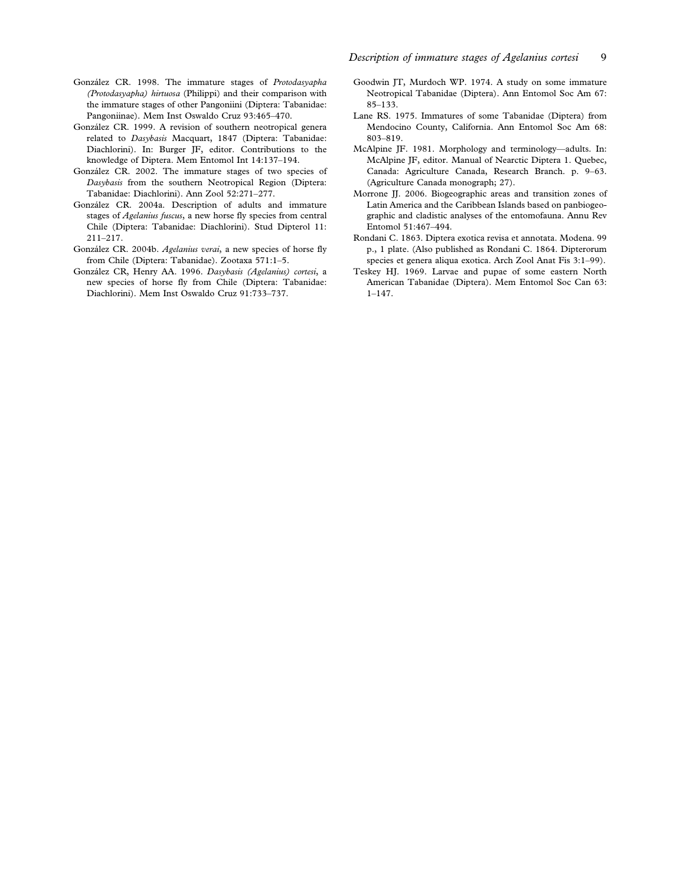- González CR. 1998. The immature stages of Protodasyapha (Protodasyapha) hirtuosa (Philippi) and their comparison with the immature stages of other Pangoniini (Diptera: Tabanidae: Pangoniinae). Mem Inst Oswaldo Cruz 93:465–470.
- González CR. 1999. A revision of southern neotropical genera related to Dasybasis Macquart, 1847 (Diptera: Tabanidae: Diachlorini). In: Burger JF, editor. Contributions to the knowledge of Diptera. Mem Entomol Int 14:137–194.
- González CR. 2002. The immature stages of two species of Dasybasis from the southern Neotropical Region (Diptera: Tabanidae: Diachlorini). Ann Zool 52:271–277.
- González CR. 2004a. Description of adults and immature stages of *Agelanius fuscus*, a new horse fly species from central Chile (Diptera: Tabanidae: Diachlorini). Stud Dipterol 11: 211–217.
- González CR. 2004b. Agelanius verai, a new species of horse fly from Chile (Diptera: Tabanidae). Zootaxa 571:1–5.
- González CR, Henry AA. 1996. Dasybasis (Agelanius) cortesi, a new species of horse fly from Chile (Diptera: Tabanidae: Diachlorini). Mem Inst Oswaldo Cruz 91:733–737.
- Goodwin JT, Murdoch WP. 1974. A study on some immature Neotropical Tabanidae (Diptera). Ann Entomol Soc Am 67: 85–133.
- Lane RS. 1975. Immatures of some Tabanidae (Diptera) from Mendocino County, California. Ann Entomol Soc Am 68: 803–819.
- McAlpine JF. 1981. Morphology and terminology—adults. In: McAlpine JF, editor. Manual of Nearctic Diptera 1. Quebec, Canada: Agriculture Canada, Research Branch. p. 9–63. (Agriculture Canada monograph; 27).
- Morrone JJ. 2006. Biogeographic areas and transition zones of Latin America and the Caribbean Islands based on panbiogeographic and cladistic analyses of the entomofauna. Annu Rev Entomol 51:467–494.
- Rondani C. 1863. Diptera exotica revisa et annotata. Modena. 99 p., 1 plate. (Also published as Rondani C. 1864. Dipterorum species et genera aliqua exotica. Arch Zool Anat Fis 3:1–99).
- Teskey HJ. 1969. Larvae and pupae of some eastern North American Tabanidae (Diptera). Mem Entomol Soc Can 63: 1–147.